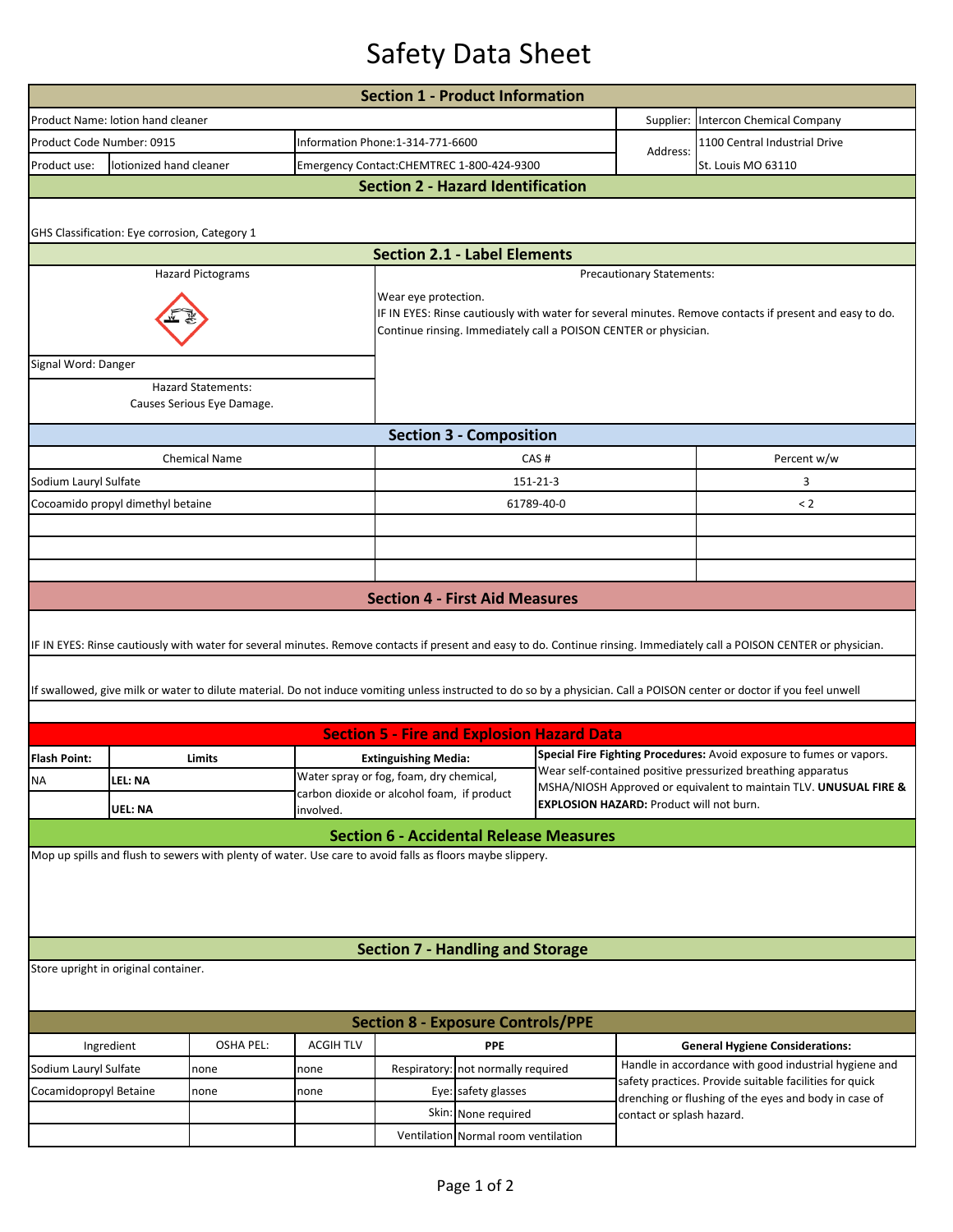## Safety Data Sheet

|                                                                                                                                                                          | <b>Section 1 - Product Information</b>        |                                                                                                           |                                                                                       |                                                                                                                                 |                                    |                                                                                                                                      |  |                                                                                                                                                                          |  |  |  |  |  |  |
|--------------------------------------------------------------------------------------------------------------------------------------------------------------------------|-----------------------------------------------|-----------------------------------------------------------------------------------------------------------|---------------------------------------------------------------------------------------|---------------------------------------------------------------------------------------------------------------------------------|------------------------------------|--------------------------------------------------------------------------------------------------------------------------------------|--|--------------------------------------------------------------------------------------------------------------------------------------------------------------------------|--|--|--|--|--|--|
|                                                                                                                                                                          | Product Name: lotion hand cleaner             |                                                                                                           |                                                                                       |                                                                                                                                 |                                    |                                                                                                                                      |  | Supplier: Intercon Chemical Company                                                                                                                                      |  |  |  |  |  |  |
| Product Code Number: 0915                                                                                                                                                |                                               |                                                                                                           |                                                                                       | Information Phone:1-314-771-6600                                                                                                |                                    |                                                                                                                                      |  | 1100 Central Industrial Drive                                                                                                                                            |  |  |  |  |  |  |
| Product use:                                                                                                                                                             | lotionized hand cleaner                       |                                                                                                           |                                                                                       | Address:<br>Emergency Contact:CHEMTREC 1-800-424-9300                                                                           |                                    |                                                                                                                                      |  | St. Louis MO 63110                                                                                                                                                       |  |  |  |  |  |  |
| <b>Section 2 - Hazard Identification</b>                                                                                                                                 |                                               |                                                                                                           |                                                                                       |                                                                                                                                 |                                    |                                                                                                                                      |  |                                                                                                                                                                          |  |  |  |  |  |  |
|                                                                                                                                                                          |                                               |                                                                                                           |                                                                                       |                                                                                                                                 |                                    |                                                                                                                                      |  |                                                                                                                                                                          |  |  |  |  |  |  |
|                                                                                                                                                                          | GHS Classification: Eye corrosion, Category 1 |                                                                                                           |                                                                                       |                                                                                                                                 |                                    |                                                                                                                                      |  |                                                                                                                                                                          |  |  |  |  |  |  |
|                                                                                                                                                                          | <b>Section 2.1 - Label Elements</b>           |                                                                                                           |                                                                                       |                                                                                                                                 |                                    |                                                                                                                                      |  |                                                                                                                                                                          |  |  |  |  |  |  |
| <b>Hazard Pictograms</b><br>Precautionary Statements:                                                                                                                    |                                               |                                                                                                           |                                                                                       |                                                                                                                                 |                                    |                                                                                                                                      |  |                                                                                                                                                                          |  |  |  |  |  |  |
|                                                                                                                                                                          |                                               |                                                                                                           |                                                                                       | Wear eye protection.<br>IF IN EYES: Rinse cautiously with water for several minutes. Remove contacts if present and easy to do. |                                    |                                                                                                                                      |  |                                                                                                                                                                          |  |  |  |  |  |  |
|                                                                                                                                                                          |                                               |                                                                                                           |                                                                                       | Continue rinsing. Immediately call a POISON CENTER or physician.                                                                |                                    |                                                                                                                                      |  |                                                                                                                                                                          |  |  |  |  |  |  |
| Signal Word: Danger                                                                                                                                                      |                                               |                                                                                                           |                                                                                       |                                                                                                                                 |                                    |                                                                                                                                      |  |                                                                                                                                                                          |  |  |  |  |  |  |
|                                                                                                                                                                          |                                               | <b>Hazard Statements:</b><br>Causes Serious Eye Damage.                                                   |                                                                                       |                                                                                                                                 |                                    |                                                                                                                                      |  |                                                                                                                                                                          |  |  |  |  |  |  |
|                                                                                                                                                                          |                                               |                                                                                                           |                                                                                       |                                                                                                                                 |                                    |                                                                                                                                      |  |                                                                                                                                                                          |  |  |  |  |  |  |
|                                                                                                                                                                          |                                               |                                                                                                           |                                                                                       |                                                                                                                                 | <b>Section 3 - Composition</b>     |                                                                                                                                      |  |                                                                                                                                                                          |  |  |  |  |  |  |
|                                                                                                                                                                          |                                               | <b>Chemical Name</b>                                                                                      |                                                                                       | CAS#                                                                                                                            |                                    |                                                                                                                                      |  | Percent w/w                                                                                                                                                              |  |  |  |  |  |  |
| Sodium Lauryl Sulfate                                                                                                                                                    |                                               |                                                                                                           |                                                                                       | 151-21-3                                                                                                                        |                                    |                                                                                                                                      |  | 3                                                                                                                                                                        |  |  |  |  |  |  |
|                                                                                                                                                                          | Cocoamido propyl dimethyl betaine             |                                                                                                           |                                                                                       |                                                                                                                                 |                                    | 61789-40-0                                                                                                                           |  | < 2                                                                                                                                                                      |  |  |  |  |  |  |
|                                                                                                                                                                          |                                               |                                                                                                           |                                                                                       |                                                                                                                                 |                                    |                                                                                                                                      |  |                                                                                                                                                                          |  |  |  |  |  |  |
|                                                                                                                                                                          |                                               |                                                                                                           |                                                                                       |                                                                                                                                 |                                    |                                                                                                                                      |  |                                                                                                                                                                          |  |  |  |  |  |  |
|                                                                                                                                                                          |                                               |                                                                                                           |                                                                                       |                                                                                                                                 |                                    |                                                                                                                                      |  |                                                                                                                                                                          |  |  |  |  |  |  |
|                                                                                                                                                                          |                                               |                                                                                                           |                                                                                       | <b>Section 4 - First Aid Measures</b>                                                                                           |                                    |                                                                                                                                      |  |                                                                                                                                                                          |  |  |  |  |  |  |
| IF IN EYES: Rinse cautiously with water for several minutes. Remove contacts if present and easy to do. Continue rinsing. Immediately call a POISON CENTER or physician. |                                               |                                                                                                           |                                                                                       |                                                                                                                                 |                                    |                                                                                                                                      |  |                                                                                                                                                                          |  |  |  |  |  |  |
|                                                                                                                                                                          |                                               |                                                                                                           |                                                                                       |                                                                                                                                 |                                    |                                                                                                                                      |  | If swallowed, give milk or water to dilute material. Do not induce vomiting unless instructed to do so by a physician. Call a POISON center or doctor if you feel unwell |  |  |  |  |  |  |
|                                                                                                                                                                          |                                               |                                                                                                           |                                                                                       |                                                                                                                                 |                                    |                                                                                                                                      |  |                                                                                                                                                                          |  |  |  |  |  |  |
|                                                                                                                                                                          |                                               |                                                                                                           |                                                                                       | <b>Section 5 - Fire and Explosion Hazard Data</b>                                                                               |                                    |                                                                                                                                      |  |                                                                                                                                                                          |  |  |  |  |  |  |
| <b>Flash Point:</b>                                                                                                                                                      |                                               | Limits                                                                                                    |                                                                                       | <b>Extinguishing Media:</b>                                                                                                     |                                    | Special Fire Fighting Procedures: Avoid exposure to fumes or vapors.<br>Wear self-contained positive pressurized breathing apparatus |  |                                                                                                                                                                          |  |  |  |  |  |  |
| ΝA                                                                                                                                                                       | LFL: NA                                       |                                                                                                           | Water spray or fog, foam, dry chemical,<br>carbon dioxide or alcohol foam, if product |                                                                                                                                 |                                    | MSHA/NIOSH Approved or equivalent to maintain TLV. UNUSUAL FIRE &                                                                    |  |                                                                                                                                                                          |  |  |  |  |  |  |
|                                                                                                                                                                          | UEL: NA<br>involved.                          |                                                                                                           |                                                                                       | <b>EXPLOSION HAZARD: Product will not burn.</b>                                                                                 |                                    |                                                                                                                                      |  |                                                                                                                                                                          |  |  |  |  |  |  |
|                                                                                                                                                                          |                                               |                                                                                                           |                                                                                       | <b>Section 6 - Accidental Release Measures</b>                                                                                  |                                    |                                                                                                                                      |  |                                                                                                                                                                          |  |  |  |  |  |  |
|                                                                                                                                                                          |                                               | Mop up spills and flush to sewers with plenty of water. Use care to avoid falls as floors maybe slippery. |                                                                                       |                                                                                                                                 |                                    |                                                                                                                                      |  |                                                                                                                                                                          |  |  |  |  |  |  |
|                                                                                                                                                                          |                                               |                                                                                                           |                                                                                       |                                                                                                                                 |                                    |                                                                                                                                      |  |                                                                                                                                                                          |  |  |  |  |  |  |
|                                                                                                                                                                          |                                               |                                                                                                           |                                                                                       |                                                                                                                                 |                                    |                                                                                                                                      |  |                                                                                                                                                                          |  |  |  |  |  |  |
| <b>Section 7 - Handling and Storage</b>                                                                                                                                  |                                               |                                                                                                           |                                                                                       |                                                                                                                                 |                                    |                                                                                                                                      |  |                                                                                                                                                                          |  |  |  |  |  |  |
| Store upright in original container.                                                                                                                                     |                                               |                                                                                                           |                                                                                       |                                                                                                                                 |                                    |                                                                                                                                      |  |                                                                                                                                                                          |  |  |  |  |  |  |
|                                                                                                                                                                          |                                               |                                                                                                           |                                                                                       |                                                                                                                                 |                                    |                                                                                                                                      |  |                                                                                                                                                                          |  |  |  |  |  |  |
| <b>Section 8 - Exposure Controls/PPE</b>                                                                                                                                 |                                               |                                                                                                           |                                                                                       |                                                                                                                                 |                                    |                                                                                                                                      |  |                                                                                                                                                                          |  |  |  |  |  |  |
|                                                                                                                                                                          |                                               | <b>OSHA PEL:</b>                                                                                          | <b>ACGIH TLV</b>                                                                      | <b>PPE</b>                                                                                                                      |                                    |                                                                                                                                      |  | <b>General Hygiene Considerations:</b>                                                                                                                                   |  |  |  |  |  |  |
| Ingredient<br>Sodium Lauryl Sulfate                                                                                                                                      |                                               | none                                                                                                      | none                                                                                  |                                                                                                                                 | Respiratory: not normally required |                                                                                                                                      |  | Handle in accordance with good industrial hygiene and                                                                                                                    |  |  |  |  |  |  |
| Cocamidopropyl Betaine                                                                                                                                                   |                                               | none                                                                                                      | none                                                                                  | Eye: safety glasses                                                                                                             |                                    |                                                                                                                                      |  | safety practices. Provide suitable facilities for quick<br>drenching or flushing of the eyes and body in case of                                                         |  |  |  |  |  |  |
|                                                                                                                                                                          |                                               |                                                                                                           |                                                                                       | Skin: None required                                                                                                             |                                    | contact or splash hazard.                                                                                                            |  |                                                                                                                                                                          |  |  |  |  |  |  |
|                                                                                                                                                                          |                                               |                                                                                                           |                                                                                       | Ventilation Normal room ventilation                                                                                             |                                    |                                                                                                                                      |  |                                                                                                                                                                          |  |  |  |  |  |  |
|                                                                                                                                                                          |                                               |                                                                                                           |                                                                                       |                                                                                                                                 |                                    |                                                                                                                                      |  |                                                                                                                                                                          |  |  |  |  |  |  |